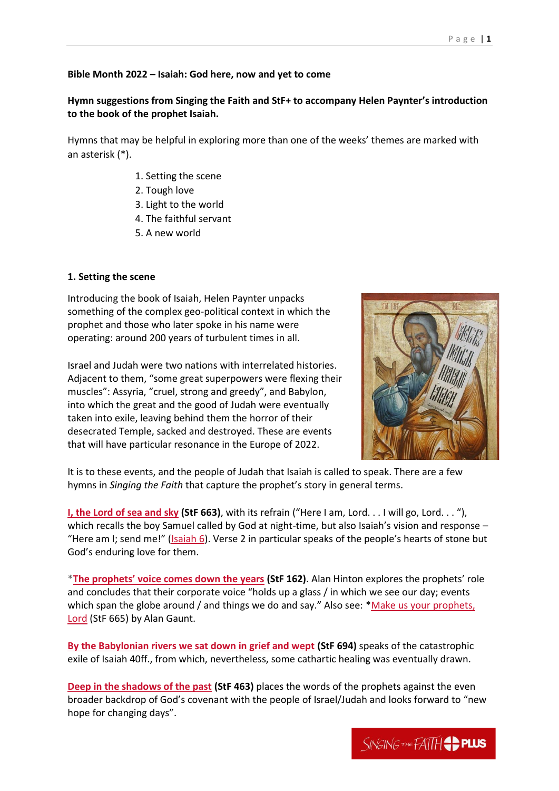## **Bible Month 2022 – Isaiah: God here, now and yet to come**

# **Hymn suggestions from Singing the Faith and StF+ to accompany Helen Paynter's introduction to the book of the prophet Isaiah.**

Hymns that may be helpful in exploring more than one of the weeks' themes are marked with an asterisk (\*).

- 1. Setting the scene
- 2. Tough love
- 3. Light to the world
- 4. The faithful servant
- 5. A new world

## **1. Setting the scene**

Introducing the book of Isaiah, Helen Paynter unpacks something of the complex geo-political context in which the prophet and those who later spoke in his name were operating: around 200 years of turbulent times in all.

Israel and Judah were two nations with interrelated histories. Adjacent to them, "some great superpowers were flexing their muscles": Assyria, "cruel, strong and greedy", and Babylon, into which the great and the good of Judah were eventually taken into exile, leaving behind them the horror of their desecrated Temple, sacked and destroyed. These are events that will have particular resonance in the Europe of 2022.



It is to these events, and the people of Judah that Isaiah is called to speak. There are a few hymns in *Singing the Faith* that capture the prophet's story in general terms.

**[I, the Lord of sea and sky](https://www.methodist.org.uk/%7BlocalLink:umb:/document/a81778c163604b99a9f3b1b287661a10%7D) (StF 663)**, with its refrain ("Here I am, Lord. . . I will go, Lord. . . "), which recalls the boy Samuel called by God at night-time, but also Isaiah's vision and response – "Here am I; send me!" ([Isaiah 6\)](http://bible.oremus.org/?ql=517353453). Verse 2 in particular speaks of the people's hearts of stone but God's enduring love for them.

\***[The prophets' voice comes down the years](https://www.methodist.org.uk/%7BlocalLink:umb:/document/75a55f3a317543be8b56e94c3d81f8da%7D) (StF 162)**. Alan Hinton explores the prophets' role and concludes that their corporate voice "holds up a glass / in which we see our day; events which span the globe around / and things we do and say." Also see: \*Make us your prophets, [Lord](https://www.methodist.org.uk/%7BlocalLink:umb:/document/242bce7869144024acf97a71d15fc0d3%7D) (StF 665) by Alan Gaunt.

**[By the Babylonian rivers we sat down in grief and wept](https://www.methodist.org.uk/%7BlocalLink:umb:/document/46f3e8c2b4f74e1795f8993543d7be0f%7D) (StF 694)** speaks of the catastrophic exile of Isaiah 40ff., from which, nevertheless, some cathartic healing was eventually drawn.

**[Deep in the shadows of the past](https://www.methodist.org.uk/%7BlocalLink:umb:/document/df479a24bb624bf7a3d19219b3918cd9%7D) (StF 463)** places the words of the prophets against the even broader backdrop of God's covenant with the people of Israel/Judah and looks forward to "new hope for changing days".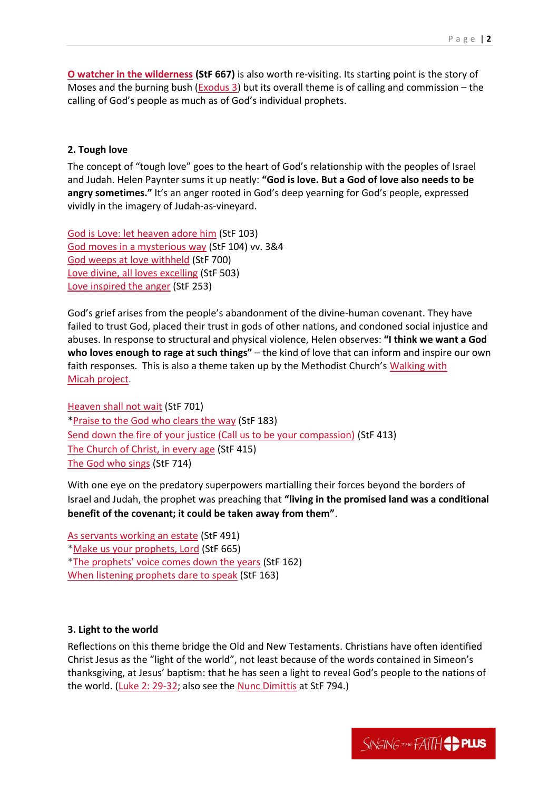**[O watcher in the wilderness](https://www.methodist.org.uk/%7BlocalLink:umb:/document/fd4f2a6bf0cf4a6e9f218769a13c32c8%7D) (StF 667)** is also worth re-visiting. Its starting point is the story of Moses and the burning bush [\(Exodus 3\)](http://bible.oremus.org/?ql=517353557) but its overall theme is of calling and commission – the calling of God's people as much as of God's individual prophets.

### **2. Tough love**

The concept of "tough love" goes to the heart of God's relationship with the peoples of Israel and Judah. Helen Paynter sums it up neatly: **"God is love. But a God of love also needs to be angry sometimes."** It's an anger rooted in God's deep yearning for God's people, expressed vividly in the imagery of Judah-as-vineyard.

[God is Love: let heaven adore him](https://www.methodist.org.uk/%7BlocalLink:umb:/document/f371242b563746fc987044d6e4452a58%7D) (StF 103) [God moves in a mysterious way](https://www.methodist.org.uk/%7BlocalLink:umb:/document/974dc5e8861e4c71b707fc5c6174a3b0%7D) (StF 104) vv. 3&4 [God weeps at love withheld](https://www.methodist.org.uk/%7BlocalLink:umb:/document/678d95dcd9f047c9966d52c69a4bab08%7D) (StF 700) [Love divine, all loves excelling](https://www.methodist.org.uk/%7BlocalLink:umb:/document/4af9020445394b05914de7139331b179%7D) (StF 503) [Love inspired the anger](https://www.methodist.org.uk/%7BlocalLink:umb:/document/9127c46ca2704fc98805f40ab0d1d3ae%7D) (StF 253)

God's grief arises from the people's abandonment of the divine-human covenant. They have failed to trust God, placed their trust in gods of other nations, and condoned social injustice and abuses. In response to structural and physical violence, Helen observes: **"I think we want a God who loves enough to rage at such things"** – the kind of love that can inform and inspire our own faith responses. This is also a theme taken up by the Methodist Church's [Walking with](https://www.methodist.org.uk/our-faith/worship/singing-the-faith-plus/seasons-and-themes/themes/walking-with-micah/)  Micah [project.](https://www.methodist.org.uk/our-faith/worship/singing-the-faith-plus/seasons-and-themes/themes/walking-with-micah/)

[Heaven shall not wait](https://www.methodist.org.uk/%7BlocalLink:umb:/document/66588d44886f44a08333a25c2c920f9b%7D) (StF 701) [\\*Praise to the God who clears the way](https://www.methodist.org.uk/%7BlocalLink:umb:/document/bcd90025864147a2a10a80e422862164%7D) (StF 183) [Send down the fire of your justice \(Call us to be your compassion\)](https://www.methodist.org.uk/%7BlocalLink:umb:/document/0958afe1e05146af9986498273e273f0%7D) (StF 413) [The Church of Christ, in every age](https://www.methodist.org.uk/%7BlocalLink:umb:/document/77f0a8024c46447796da960292b40454%7D) (StF 415) [The God who sings](https://www.methodist.org.uk/%7BlocalLink:umb:/document/7e714816b22046c0bd40132a5a87349b%7D) (StF 714)

With one eye on the predatory superpowers martialling their forces beyond the borders of Israel and Judah, the prophet was preaching that **"living in the promised land was a conditional benefit of the covenant; it could be taken away from them"**.

[As servants working an estate](https://www.methodist.org.uk/%7BlocalLink:umb:/document/e515ec30d71146f284780475b238b4e5%7D) (StF 491) [\\*Make us your prophets, Lord](https://www.methodist.org.uk/%7BlocalLink:umb:/document/242bce7869144024acf97a71d15fc0d3%7D) (StF 665) \*[The prophets' voice comes down the years](https://www.methodist.org.uk/%7BlocalLink:umb:/document/75a55f3a317543be8b56e94c3d81f8da%7D) (StF 162) When listening [prophets dare to speak](https://www.methodist.org.uk/%7BlocalLink:umb:/document/409d6f5a229549af9e6ed634543e3cbf%7D) (StF 163)

## **3. Light to the world**

Reflections on this theme bridge the Old and New Testaments. Christians have often identified Christ Jesus as the "light of the world", not least because of the words contained in Simeon's thanksgiving, at Jesus' baptism: that he has seen a light to reveal God's people to the nations of the world. [\(Luke 2: 29-32;](http://bible.oremus.org/?ql=517354235) also see the [Nunc Dimittis](https://www.methodist.org.uk/our-faith/worship/singing-the-faith-plus/posts/now-lord-you-let-your-servant-go-in-peace-stf-794/) at StF 794.)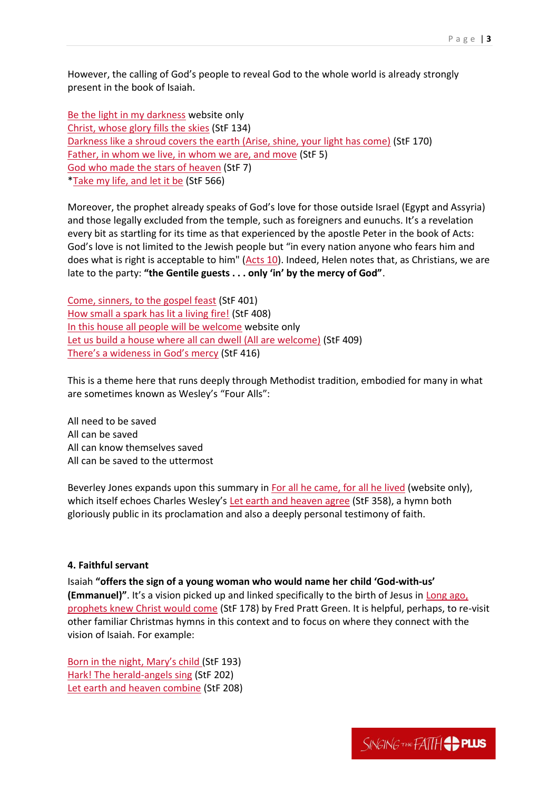However, the calling of God's people to reveal God to the whole world is already strongly present in the book of Isaiah.

[Be the light in my darkness](https://www.methodist.org.uk/%7BlocalLink:umb:/document/0a1ec6d031014a53b25c06e6c97ee415%7D) website only [Christ, whose glory fills the skies](https://www.methodist.org.uk/%7BlocalLink:umb:/document/c0be3c5977ec43a18a691c3a316993ab%7D) (StF 134) [Darkness like a shroud covers the earth \(Arise, shine, your light has come\)](https://www.methodist.org.uk/%7BlocalLink:umb:/document/4f0255a70e73455381ebb029373acf15%7D) (StF 170) [Father, in whom we live, in whom we are, and move](https://www.methodist.org.uk/%7BlocalLink:umb:/document/432acfa80f344b2cbcef161cf2c47128%7D) (StF 5) [God who made the stars of heaven](https://www.methodist.org.uk/%7BlocalLink:umb:/document/f0c3137687eb40ce9d1a78b8f89c1ab3%7D) (StF 7) [\\*Take my life, and let it be](https://www.methodist.org.uk/%7BlocalLink:umb:/document/987fb944c44147b286b323455e51b9a2%7D) (StF 566)

Moreover, the prophet already speaks of God's love for those outside Israel (Egypt and Assyria) and those legally excluded from the temple, such as foreigners and eunuchs. It's a revelation every bit as startling for its time as that experienced by the apostle Peter in the book of Acts: God's love is not limited to the Jewish people but "in every nation anyone who fears him and does what is right is acceptable to him" [\(Acts 10\)](http://bible.oremus.org/?ql=517354630). Indeed, Helen notes that, as Christians, we are late to the party: **"the Gentile guests . . . only 'in' by the mercy of God"**.

[Come, sinners, to the gospel feast](https://www.methodist.org.uk/%7BlocalLink:umb:/document/88a570c95aab42ee89ec6431218ca288%7D) (StF 401) [How small a spark has lit a living fire!](https://www.methodist.org.uk/%7BlocalLink:umb:/document/e79e72305a1e476c854f02802050987d%7D) (StF 408) [In this house all people will be welcome](https://www.methodist.org.uk/%7BlocalLink:umb:/document/c7024b56493545a6a47c4f790ab68797%7D) website only [Let us build a house where all can dwell \(All are welcome\)](https://www.methodist.org.uk/%7BlocalLink:umb:/document/ded59022004c4db0ab19858d0e03bfa8%7D) (StF 409) [There's a wideness in God's mercy](https://www.methodist.org.uk/%7BlocalLink:umb:/document/903d856d8e9a495e84ef3c0b4634d145%7D) (StF 416)

This is a theme here that runs deeply through Methodist tradition, embodied for many in what are sometimes known as Wesley's "Four Alls":

All need to be saved All can be saved All can know themselves saved All can be saved to the uttermost

Beverley Jones expands upon this summary in [For all he came, for all he lived](https://www.methodist.org.uk/%7BlocalLink:umb:/document/3ca3b1e2f23047928307d2dc48c853f7%7D) (website only), which itself echoes Charles Wesley's [Let earth and heaven agree](https://www.methodist.org.uk/%7BlocalLink:umb:/document/b7a34c66f89647f3809408dcd93d95ff%7D) (StF 358), a hymn both gloriously public in its proclamation and also a deeply personal testimony of faith.

#### **4. Faithful servant**

Isaiah **"offers the sign of a young woman who would name her child 'God-with-us' (Emmanuel)"**. It's a vision picked up and linked specifically to the birth of Jesus in [Long ago,](https://www.methodist.org.uk/%7BlocalLink:umb:/document/3c4dae419be74cbba55725e0a4c5281c%7D)  [prophets knew Christ would come](https://www.methodist.org.uk/%7BlocalLink:umb:/document/3c4dae419be74cbba55725e0a4c5281c%7D) (StF 178) by Fred Pratt Green. It is helpful, perhaps, to re-visit other familiar Christmas hymns in this context and to focus on where they connect with the vision of Isaiah. For example:

[Born in the night, Mary's child](https://www.methodist.org.uk/%7BlocalLink:umb:/document/0ab2185b81a643b489dd20915375a6ad%7D) (StF 193) [Hark! The herald-angels sing](https://www.methodist.org.uk/%7BlocalLink:umb:/document/12024d278de94a579479e3f991dce113%7D) (StF 202) [Let earth and heaven combine](https://www.methodist.org.uk/%7BlocalLink:umb:/document/198135e2d7114b178b6855c51d7f8fbd%7D) (StF 208)